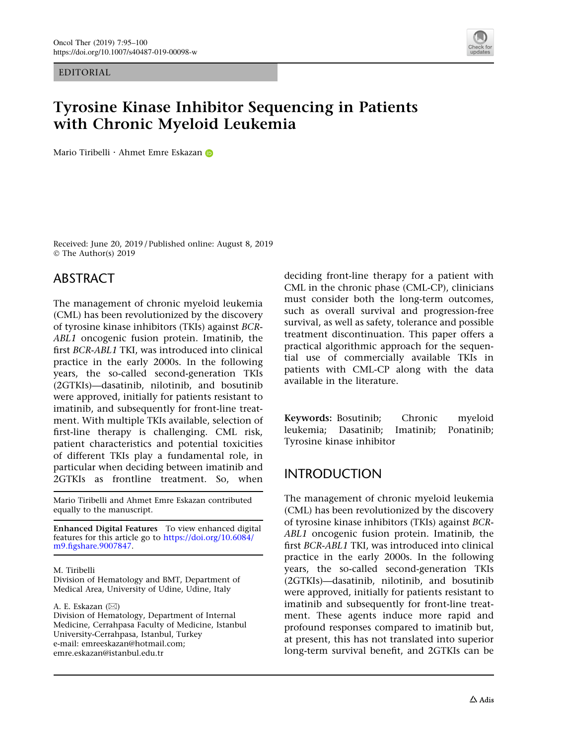EDITORIAL



# Tyrosine Kinase Inhibitor Sequencing in Patients with Chronic Myeloid Leukemia

Mario Tiribelli · Ahmet Emre Eskaza[n](http://orcid.org/0000-0001-9568-0894)

Received: June 20, 2019 / Published online: August 8, 2019 © The Author(s) 2019

## ABSTRACT

The management of chronic myeloid leukemia (CML) has been revolutionized by the discovery of tyrosine kinase inhibitors (TKIs) against BCR-ABL1 oncogenic fusion protein. Imatinib, the first BCR-ABL1 TKI, was introduced into clinical practice in the early 2000s. In the following years, the so-called second-generation TKIs (2GTKIs)—dasatinib, nilotinib, and bosutinib were approved, initially for patients resistant to imatinib, and subsequently for front-line treatment. With multiple TKIs available, selection of first-line therapy is challenging. CML risk, patient characteristics and potential toxicities of different TKIs play a fundamental role, in particular when deciding between imatinib and 2GTKIs as frontline treatment. So, when

Mario Tiribelli and Ahmet Emre Eskazan contributed equally to the manuscript.

Enhanced Digital Features To view enhanced digital features for this article go to [https://doi.org/10.6084/](https://doi.org/10.6084/m9.figshare.9007847) [m9.figshare.9007847.](https://doi.org/10.6084/m9.figshare.9007847)

#### M. Tiribelli

Division of Hematology and BMT, Department of Medical Area, University of Udine, Udine, Italy

A. E. Eskazan (⊠)

Division of Hematology, Department of Internal Medicine, Cerrahpasa Faculty of Medicine, Istanbul University-Cerrahpasa, Istanbul, Turkey e-mail: emreeskazan@hotmail.com; emre.eskazan@istanbul.edu.tr

deciding front-line therapy for a patient with CML in the chronic phase (CML-CP), clinicians must consider both the long-term outcomes, such as overall survival and progression-free survival, as well as safety, tolerance and possible treatment discontinuation. This paper offers a practical algorithmic approach for the sequential use of commercially available TKIs in patients with CML-CP along with the data available in the literature.

Keywords: Bosutinib; Chronic myeloid leukemia; Dasatinib; Imatinib; Ponatinib; Tyrosine kinase inhibitor

### INTRODUCTION

The management of chronic myeloid leukemia (CML) has been revolutionized by the discovery of tyrosine kinase inhibitors (TKIs) against BCR-ABL1 oncogenic fusion protein. Imatinib, the first BCR-ABL1 TKI, was introduced into clinical practice in the early 2000s. In the following years, the so-called second-generation TKIs (2GTKIs)—dasatinib, nilotinib, and bosutinib were approved, initially for patients resistant to imatinib and subsequently for front-line treatment. These agents induce more rapid and profound responses compared to imatinib but, at present, this has not translated into superior long-term survival benefit, and 2GTKIs can be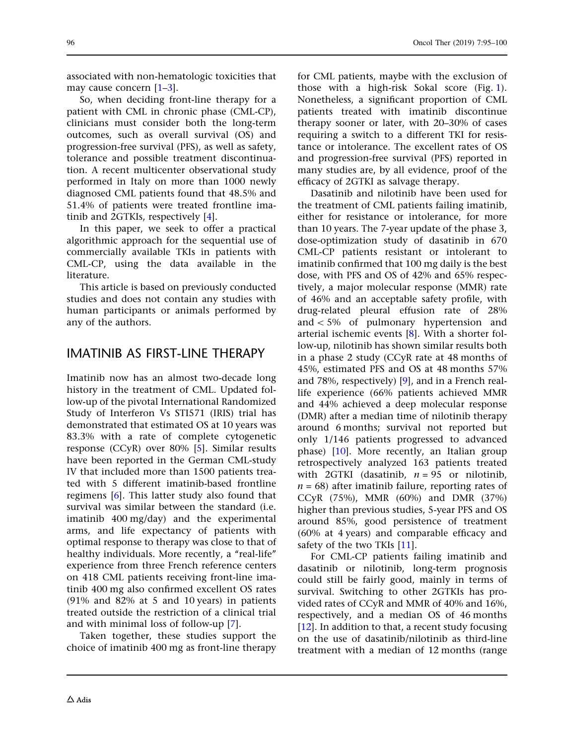associated with non-hematologic toxicities that may cause concern [[1–3](#page-4-0)].

So, when deciding front-line therapy for a patient with CML in chronic phase (CML-CP), clinicians must consider both the long-term outcomes, such as overall survival (OS) and progression-free survival (PFS), as well as safety, tolerance and possible treatment discontinuation. A recent multicenter observational study performed in Italy on more than 1000 newly diagnosed CML patients found that 48.5% and 51.4% of patients were treated frontline imatinib and 2GTKIs, respectively [\[4\]](#page-4-0).

In this paper, we seek to offer a practical algorithmic approach for the sequential use of commercially available TKIs in patients with CML-CP, using the data available in the literature.

This article is based on previously conducted studies and does not contain any studies with human participants or animals performed by any of the authors.

#### IMATINIB AS FIRST-LINE THERAPY

Imatinib now has an almost two-decade long history in the treatment of CML. Updated follow-up of the pivotal International Randomized Study of Interferon Vs STI571 (IRIS) trial has demonstrated that estimated OS at 10 years was 83.3% with a rate of complete cytogenetic response (CCyR) over 80% [[5\]](#page-5-0). Similar results have been reported in the German CML-study IV that included more than 1500 patients treated with 5 different imatinib-based frontline regimens [[6\]](#page-5-0). This latter study also found that survival was similar between the standard (i.e. imatinib 400 mg/day) and the experimental arms, and life expectancy of patients with optimal response to therapy was close to that of healthy individuals. More recently, a "real-life" experience from three French reference centers on 418 CML patients receiving front-line imatinib 400 mg also confirmed excellent OS rates (91% and 82% at 5 and 10 years) in patients treated outside the restriction of a clinical trial and with minimal loss of follow-up [\[7](#page-5-0)].

Taken together, these studies support the choice of imatinib 400 mg as front-line therapy for CML patients, maybe with the exclusion of those with a high-risk Sokal score (Fig. [1](#page-2-0)). Nonetheless, a significant proportion of CML patients treated with imatinib discontinue therapy sooner or later, with 20–30% of cases requiring a switch to a different TKI for resistance or intolerance. The excellent rates of OS and progression-free survival (PFS) reported in many studies are, by all evidence, proof of the efficacy of 2GTKI as salvage therapy.

Dasatinib and nilotinib have been used for the treatment of CML patients failing imatinib, either for resistance or intolerance, for more than 10 years. The 7-year update of the phase 3, dose-optimization study of dasatinib in 670 CML-CP patients resistant or intolerant to imatinib confirmed that 100 mg daily is the best dose, with PFS and OS of 42% and 65% respectively, a major molecular response (MMR) rate of 46% and an acceptable safety profile, with drug-related pleural effusion rate of 28% and  $\lt$  5% of pulmonary hypertension and arterial ischemic events [\[8\]](#page-5-0). With a shorter follow-up, nilotinib has shown similar results both in a phase 2 study (CCyR rate at 48 months of 45%, estimated PFS and OS at 48 months 57% and 78%, respectively) [\[9](#page-5-0)], and in a French reallife experience (66% patients achieved MMR and 44% achieved a deep molecular response (DMR) after a median time of nilotinib therapy around 6 months; survival not reported but only 1/146 patients progressed to advanced phase) [[10](#page-5-0)]. More recently, an Italian group retrospectively analyzed 163 patients treated with 2GTKI (dasatinib,  $n = 95$  or nilotinib,  $n = 68$ ) after imatinib failure, reporting rates of CCyR (75%), MMR (60%) and DMR (37%) higher than previous studies, 5-year PFS and OS around 85%, good persistence of treatment (60% at 4 years) and comparable efficacy and safety of the two TKIs [\[11\]](#page-5-0).

For CML-CP patients failing imatinib and dasatinib or nilotinib, long-term prognosis could still be fairly good, mainly in terms of survival. Switching to other 2GTKIs has provided rates of CCyR and MMR of 40% and 16%, respectively, and a median OS of 46 months [\[12\]](#page-5-0). In addition to that, a recent study focusing on the use of dasatinib/nilotinib as third-line treatment with a median of 12 months (range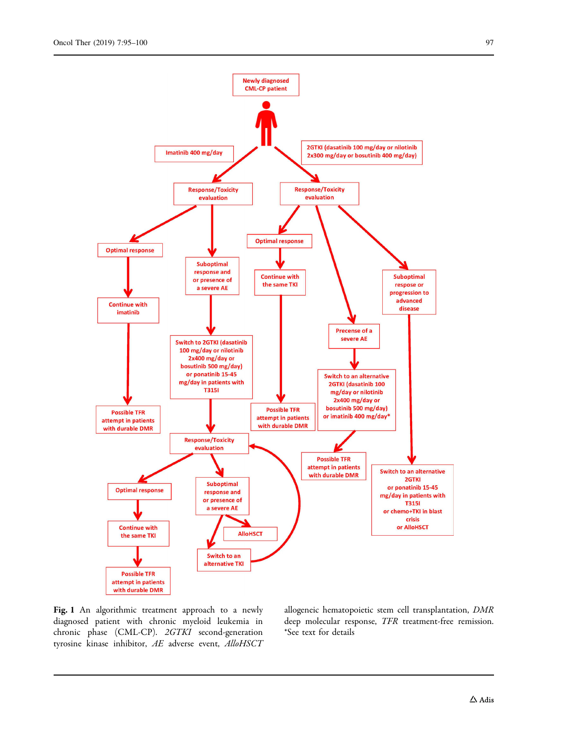<span id="page-2-0"></span>

Fig. 1 An algorithmic treatment approach to a newly diagnosed patient with chronic myeloid leukemia in chronic phase (CML-CP). 2GTKI second-generation tyrosine kinase inhibitor, AE adverse event, AlloHSCT

allogeneic hematopoietic stem cell transplantation, DMR deep molecular response, TFR treatment-free remission. \*See text for details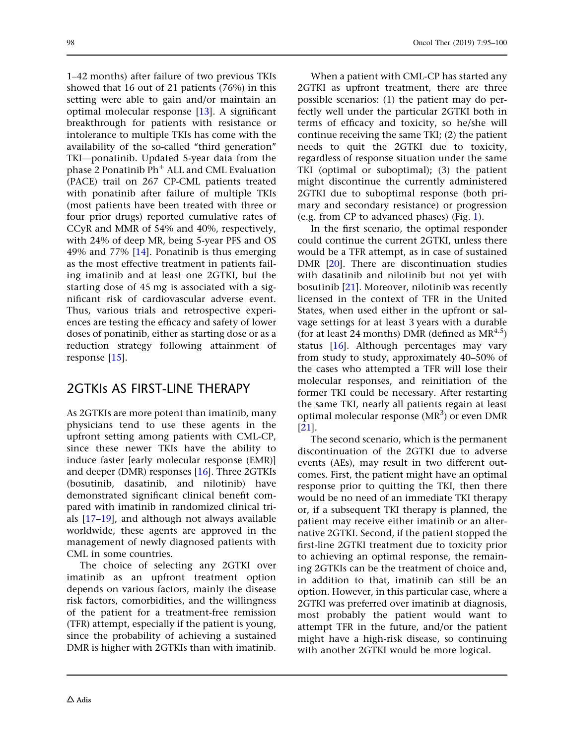showed that 16 out of 21 patients (76%) in this setting were able to gain and/or maintain an optimal molecular response [\[13\]](#page-5-0). A significant breakthrough for patients with resistance or intolerance to multiple TKIs has come with the availability of the so-called ''third generation'' TKI—ponatinib. Updated 5-year data from the phase 2 Ponatinib Ph<sup>+</sup> ALL and CML Evaluation (PACE) trail on 267 CP-CML patients treated with ponatinib after failure of multiple TKIs (most patients have been treated with three or four prior drugs) reported cumulative rates of CCyR and MMR of 54% and 40%, respectively, with 24% of deep MR, being 5-year PFS and OS 49% and 77% [[14](#page-5-0)]. Ponatinib is thus emerging as the most effective treatment in patients failing imatinib and at least one 2GTKI, but the starting dose of 45 mg is associated with a significant risk of cardiovascular adverse event. Thus, various trials and retrospective experiences are testing the efficacy and safety of lower doses of ponatinib, either as starting dose or as a reduction strategy following attainment of response [[15](#page-5-0)].

1–42 months) after failure of two previous TKIs

## 2GTKIs AS FIRST-LINE THERAPY

As 2GTKIs are more potent than imatinib, many physicians tend to use these agents in the upfront setting among patients with CML-CP, since these newer TKIs have the ability to induce faster [early molecular response (EMR)] and deeper (DMR) responses [\[16\]](#page-5-0). Three 2GTKIs (bosutinib, dasatinib, and nilotinib) have demonstrated significant clinical benefit compared with imatinib in randomized clinical trials [[17–19](#page-5-0)], and although not always available worldwide, these agents are approved in the management of newly diagnosed patients with CML in some countries.

The choice of selecting any 2GTKI over imatinib as an upfront treatment option depends on various factors, mainly the disease risk factors, comorbidities, and the willingness of the patient for a treatment-free remission (TFR) attempt, especially if the patient is young, since the probability of achieving a sustained DMR is higher with 2GTKIs than with imatinib.

When a patient with CML-CP has started any 2GTKI as upfront treatment, there are three possible scenarios: (1) the patient may do perfectly well under the particular 2GTKI both in terms of efficacy and toxicity, so he/she will continue receiving the same TKI; (2) the patient needs to quit the 2GTKI due to toxicity, regardless of response situation under the same TKI (optimal or suboptimal); (3) the patient might discontinue the currently administered 2GTKI due to suboptimal response (both primary and secondary resistance) or progression (e.g. from CP to advanced phases) (Fig. [1](#page-2-0)).

In the first scenario, the optimal responder could continue the current 2GTKI, unless there would be a TFR attempt, as in case of sustained DMR [\[20\]](#page-5-0). There are discontinuation studies with dasatinib and nilotinib but not yet with bosutinib [\[21\]](#page-5-0). Moreover, nilotinib was recently licensed in the context of TFR in the United States, when used either in the upfront or salvage settings for at least 3 years with a durable (for at least 24 months) DMR (defined as  $MR^{4.5}$ ) status [\[16\]](#page-5-0). Although percentages may vary from study to study, approximately 40–50% of the cases who attempted a TFR will lose their molecular responses, and reinitiation of the former TKI could be necessary. After restarting the same TKI, nearly all patients regain at least optimal molecular response  $(MR<sup>3</sup>)$  or even DMR [\[21\]](#page-5-0).

The second scenario, which is the permanent discontinuation of the 2GTKI due to adverse events (AEs), may result in two different outcomes. First, the patient might have an optimal response prior to quitting the TKI, then there would be no need of an immediate TKI therapy or, if a subsequent TKI therapy is planned, the patient may receive either imatinib or an alternative 2GTKI. Second, if the patient stopped the first-line 2GTKI treatment due to toxicity prior to achieving an optimal response, the remaining 2GTKIs can be the treatment of choice and, in addition to that, imatinib can still be an option. However, in this particular case, where a 2GTKI was preferred over imatinib at diagnosis, most probably the patient would want to attempt TFR in the future, and/or the patient might have a high-risk disease, so continuing with another 2GTKI would be more logical.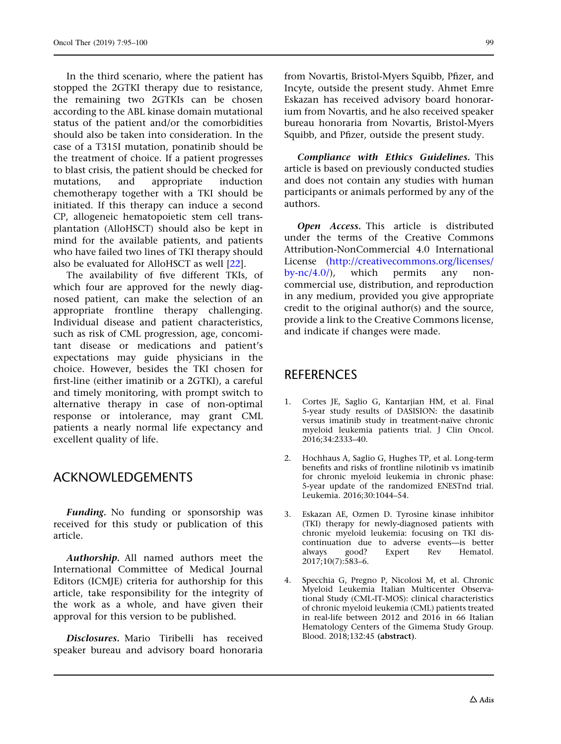<span id="page-4-0"></span>In the third scenario, where the patient has stopped the 2GTKI therapy due to resistance, the remaining two 2GTKIs can be chosen according to the ABL kinase domain mutational status of the patient and/or the comorbidities should also be taken into consideration. In the case of a T315I mutation, ponatinib should be the treatment of choice. If a patient progresses to blast crisis, the patient should be checked for mutations, and appropriate induction chemotherapy together with a TKI should be initiated. If this therapy can induce a second CP, allogeneic hematopoietic stem cell transplantation (AlloHSCT) should also be kept in mind for the available patients, and patients who have failed two lines of TKI therapy should also be evaluated for AlloHSCT as well [[22](#page-5-0)].

The availability of five different TKIs, of which four are approved for the newly diagnosed patient, can make the selection of an appropriate frontline therapy challenging. Individual disease and patient characteristics, such as risk of CML progression, age, concomitant disease or medications and patient's expectations may guide physicians in the choice. However, besides the TKI chosen for first-line (either imatinib or a 2GTKI), a careful and timely monitoring, with prompt switch to alternative therapy in case of non-optimal response or intolerance, may grant CML patients a nearly normal life expectancy and excellent quality of life.

## ACKNOWLEDGEMENTS

Funding. No funding or sponsorship was received for this study or publication of this article.

Authorship. All named authors meet the International Committee of Medical Journal Editors (ICMJE) criteria for authorship for this article, take responsibility for the integrity of the work as a whole, and have given their approval for this version to be published.

Disclosures. Mario Tiribelli has received speaker bureau and advisory board honoraria from Novartis, Bristol-Myers Squibb, Pfizer, and Incyte, outside the present study. Ahmet Emre Eskazan has received advisory board honorarium from Novartis, and he also received speaker bureau honoraria from Novartis, Bristol-Myers Squibb, and Pfizer, outside the present study.

Compliance with Ethics Guidelines. This article is based on previously conducted studies and does not contain any studies with human participants or animals performed by any of the authors.

Open Access. This article is distributed under the terms of the Creative Commons Attribution-NonCommercial 4.0 International License ([http://creativecommons.org/licenses/](http://creativecommons.org/licenses/by-nc/4.0/)  $bv\text{-}nc/4.0$ ), which permits any noncommercial use, distribution, and reproduction in any medium, provided you give appropriate credit to the original author(s) and the source, provide a link to the Creative Commons license, and indicate if changes were made.

## **REFERENCES**

- 1. Cortes JE, Saglio G, Kantarjian HM, et al. Final 5-year study results of DASISION: the dasatinib versus imatinib study in treatment-naïve chronic myeloid leukemia patients trial. J Clin Oncol. 2016;34:2333–40.
- 2. Hochhaus A, Saglio G, Hughes TP, et al. Long-term benefits and risks of frontline nilotinib vs imatinib for chronic myeloid leukemia in chronic phase: 5-year update of the randomized ENESTnd trial. Leukemia. 2016;30:1044–54.
- 3. Eskazan AE, Ozmen D. Tyrosine kinase inhibitor (TKI) therapy for newly-diagnosed patients with chronic myeloid leukemia: focusing on TKI discontinuation due to adverse events—is better<br>always good? Expert Rev Hematol. always good? Expert Rev Hematol. 2017;10(7):583–6.
- 4. Specchia G, Pregno P, Nicolosi M, et al. Chronic Myeloid Leukemia Italian Multicenter Observational Study (CML-IT-MOS): clinical characteristics of chronic myeloid leukemia (CML) patients treated in real-life between 2012 and 2016 in 66 Italian Hematology Centers of the Gimema Study Group. Blood. 2018;132:45 (abstract).